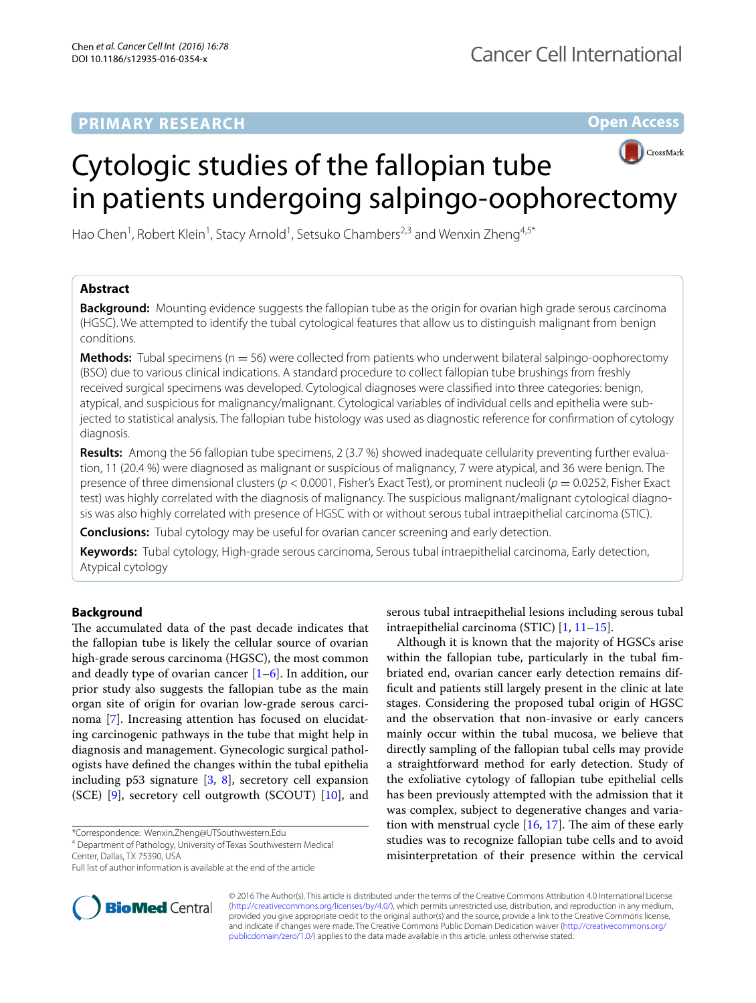# **PRIMARY RESEARCH**

**Open Access**



# Cytologic studies of the fallopian tube in patients undergoing salpingo-oophorectomy

Hao Chen<sup>1</sup>, Robert Klein<sup>1</sup>, Stacy Arnold<sup>1</sup>, Setsuko Chambers<sup>2,3</sup> and Wenxin Zheng<sup>4,5\*</sup>

# **Abstract**

**Background:** Mounting evidence suggests the fallopian tube as the origin for ovarian high grade serous carcinoma (HGSC). We attempted to identify the tubal cytological features that allow us to distinguish malignant from benign conditions.

**Methods:** Tubal specimens (n = 56) were collected from patients who underwent bilateral salpingo-oophorectomy (BSO) due to various clinical indications. A standard procedure to collect fallopian tube brushings from freshly received surgical specimens was developed. Cytological diagnoses were classified into three categories: benign, atypical, and suspicious for malignancy/malignant. Cytological variables of individual cells and epithelia were subjected to statistical analysis. The fallopian tube histology was used as diagnostic reference for confirmation of cytology diagnosis.

**Results:** Among the 56 fallopian tube specimens, 2 (3.7 %) showed inadequate cellularity preventing further evaluation, 11 (20.4 %) were diagnosed as malignant or suspicious of malignancy, 7 were atypical, and 36 were benign. The presence of three dimensional clusters (*p* < 0.0001, Fisher's Exact Test), or prominent nucleoli (*p* = 0.0252, Fisher Exact test) was highly correlated with the diagnosis of malignancy. The suspicious malignant/malignant cytological diagnosis was also highly correlated with presence of HGSC with or without serous tubal intraepithelial carcinoma (STIC).

**Conclusions:** Tubal cytology may be useful for ovarian cancer screening and early detection.

**Keywords:** Tubal cytology, High-grade serous carcinoma, Serous tubal intraepithelial carcinoma, Early detection, Atypical cytology

# **Background**

The accumulated data of the past decade indicates that the fallopian tube is likely the cellular source of ovarian high-grade serous carcinoma (HGSC), the most common and deadly type of ovarian cancer  $[1-6]$  $[1-6]$  $[1-6]$ . In addition, our prior study also suggests the fallopian tube as the main organ site of origin for ovarian low-grade serous carcinoma [[7\]](#page-5-2). Increasing attention has focused on elucidating carcinogenic pathways in the tube that might help in diagnosis and management. Gynecologic surgical pathologists have defined the changes within the tubal epithelia including p53 signature [\[3](#page-5-3), [8\]](#page-5-4), secretory cell expansion (SCE) [[9\]](#page-6-0), secretory cell outgrowth (SCOUT) [\[10\]](#page-6-1), and



Although it is known that the majority of HGSCs arise within the fallopian tube, particularly in the tubal fimbriated end, ovarian cancer early detection remains difficult and patients still largely present in the clinic at late stages. Considering the proposed tubal origin of HGSC and the observation that non-invasive or early cancers mainly occur within the tubal mucosa, we believe that directly sampling of the fallopian tubal cells may provide a straightforward method for early detection. Study of the exfoliative cytology of fallopian tube epithelial cells has been previously attempted with the admission that it was complex, subject to degenerative changes and variation with menstrual cycle [\[16](#page-6-4), [17\]](#page-6-5). The aim of these early studies was to recognize fallopian tube cells and to avoid misinterpretation of their presence within the cervical



© 2016 The Author(s). This article is distributed under the terms of the Creative Commons Attribution 4.0 International License [\(http://creativecommons.org/licenses/by/4.0/\)](http://creativecommons.org/licenses/by/4.0/), which permits unrestricted use, distribution, and reproduction in any medium, provided you give appropriate credit to the original author(s) and the source, provide a link to the Creative Commons license, and indicate if changes were made. The Creative Commons Public Domain Dedication waiver ([http://creativecommons.org/](http://creativecommons.org/publicdomain/zero/1.0/) [publicdomain/zero/1.0/](http://creativecommons.org/publicdomain/zero/1.0/)) applies to the data made available in this article, unless otherwise stated.

<sup>\*</sup>Correspondence: Wenxin.Zheng@UTSouthwestern.Edu

<sup>4</sup> Department of Pathology, University of Texas Southwestern Medical Center, Dallas, TX 75390, USA

Full list of author information is available at the end of the article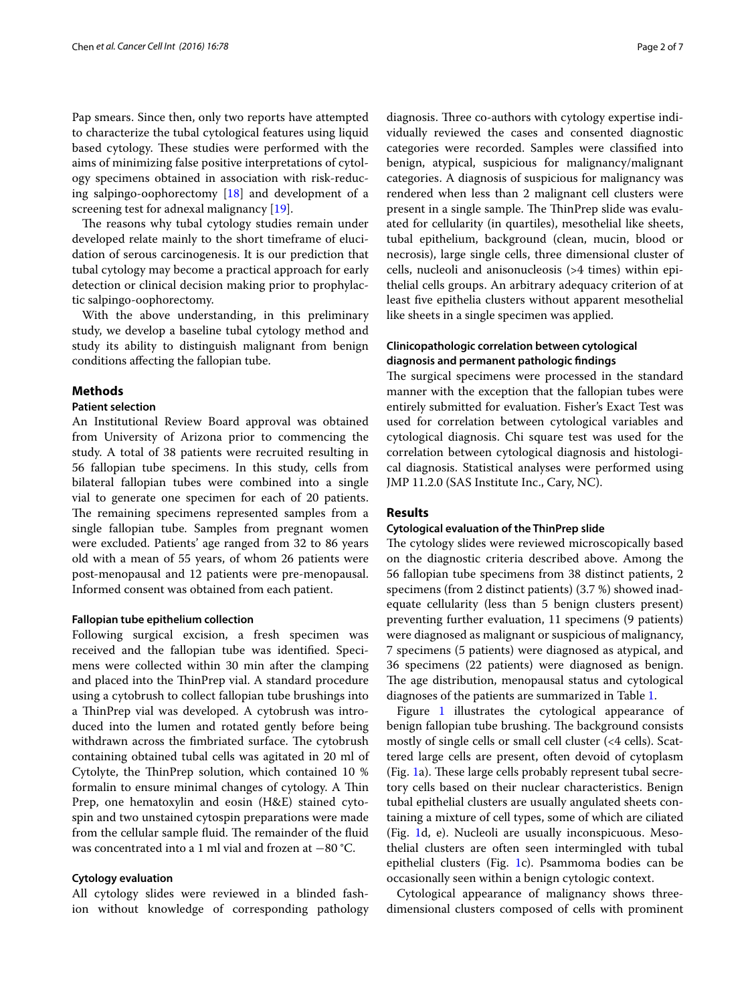Pap smears. Since then, only two reports have attempted to characterize the tubal cytological features using liquid based cytology. These studies were performed with the aims of minimizing false positive interpretations of cytology specimens obtained in association with risk-reducing salpingo-oophorectomy [\[18\]](#page-6-6) and development of a screening test for adnexal malignancy [[19\]](#page-6-7).

The reasons why tubal cytology studies remain under developed relate mainly to the short timeframe of elucidation of serous carcinogenesis. It is our prediction that tubal cytology may become a practical approach for early detection or clinical decision making prior to prophylactic salpingo-oophorectomy.

With the above understanding, in this preliminary study, we develop a baseline tubal cytology method and study its ability to distinguish malignant from benign conditions affecting the fallopian tube.

## **Methods**

### **Patient selection**

An Institutional Review Board approval was obtained from University of Arizona prior to commencing the study. A total of 38 patients were recruited resulting in 56 fallopian tube specimens. In this study, cells from bilateral fallopian tubes were combined into a single vial to generate one specimen for each of 20 patients. The remaining specimens represented samples from a single fallopian tube. Samples from pregnant women were excluded. Patients' age ranged from 32 to 86 years old with a mean of 55 years, of whom 26 patients were post-menopausal and 12 patients were pre-menopausal. Informed consent was obtained from each patient.

#### **Fallopian tube epithelium collection**

Following surgical excision, a fresh specimen was received and the fallopian tube was identified. Specimens were collected within 30 min after the clamping and placed into the ThinPrep vial. A standard procedure using a cytobrush to collect fallopian tube brushings into a ThinPrep vial was developed. A cytobrush was introduced into the lumen and rotated gently before being withdrawn across the fimbriated surface. The cytobrush containing obtained tubal cells was agitated in 20 ml of Cytolyte, the ThinPrep solution, which contained 10 % formalin to ensure minimal changes of cytology. A Thin Prep, one hematoxylin and eosin (H&E) stained cytospin and two unstained cytospin preparations were made from the cellular sample fluid. The remainder of the fluid was concentrated into a 1 ml vial and frozen at −80 °C.

## **Cytology evaluation**

All cytology slides were reviewed in a blinded fashion without knowledge of corresponding pathology

diagnosis. Three co-authors with cytology expertise individually reviewed the cases and consented diagnostic categories were recorded. Samples were classified into benign, atypical, suspicious for malignancy/malignant categories. A diagnosis of suspicious for malignancy was rendered when less than 2 malignant cell clusters were present in a single sample. The ThinPrep slide was evaluated for cellularity (in quartiles), mesothelial like sheets, tubal epithelium, background (clean, mucin, blood or necrosis), large single cells, three dimensional cluster of cells, nucleoli and anisonucleosis (>4 times) within epithelial cells groups. An arbitrary adequacy criterion of at least five epithelia clusters without apparent mesothelial like sheets in a single specimen was applied.

# **Clinicopathologic correlation between cytological diagnosis and permanent pathologic findings**

The surgical specimens were processed in the standard manner with the exception that the fallopian tubes were entirely submitted for evaluation. Fisher's Exact Test was used for correlation between cytological variables and cytological diagnosis. Chi square test was used for the correlation between cytological diagnosis and histological diagnosis. Statistical analyses were performed using JMP 11.2.0 (SAS Institute Inc., Cary, NC).

## **Results**

### **Cytological evaluation of the ThinPrep slide**

The cytology slides were reviewed microscopically based on the diagnostic criteria described above. Among the 56 fallopian tube specimens from 38 distinct patients, 2 specimens (from 2 distinct patients) (3.7 %) showed inadequate cellularity (less than 5 benign clusters present) preventing further evaluation, 11 specimens (9 patients) were diagnosed as malignant or suspicious of malignancy, 7 specimens (5 patients) were diagnosed as atypical, and 36 specimens (22 patients) were diagnosed as benign. The age distribution, menopausal status and cytological diagnoses of the patients are summarized in Table [1.](#page-2-0)

Figure [1](#page-2-1) illustrates the cytological appearance of benign fallopian tube brushing. The background consists mostly of single cells or small cell cluster (<4 cells). Scattered large cells are present, often devoid of cytoplasm (Fig. [1](#page-2-1)a). These large cells probably represent tubal secretory cells based on their nuclear characteristics. Benign tubal epithelial clusters are usually angulated sheets containing a mixture of cell types, some of which are ciliated (Fig. [1d](#page-2-1), e). Nucleoli are usually inconspicuous. Mesothelial clusters are often seen intermingled with tubal epithelial clusters (Fig. [1c](#page-2-1)). Psammoma bodies can be occasionally seen within a benign cytologic context.

Cytological appearance of malignancy shows threedimensional clusters composed of cells with prominent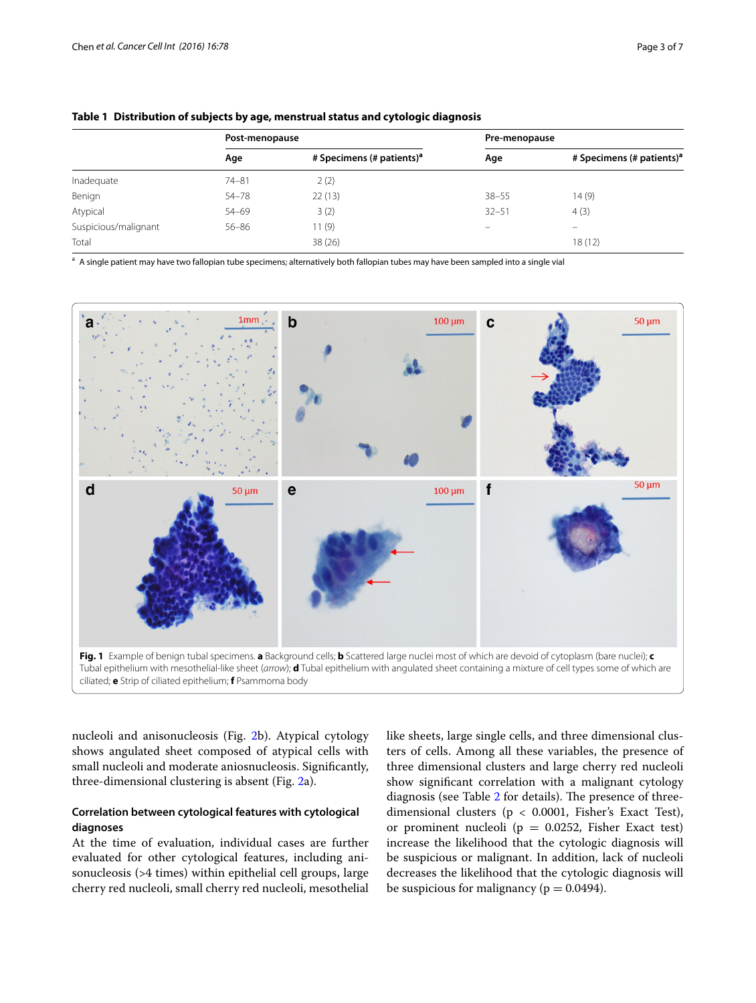|                      | Post-menopause |                                       | Pre-menopause |                                       |
|----------------------|----------------|---------------------------------------|---------------|---------------------------------------|
|                      | Age            | # Specimens (# patients) <sup>a</sup> | Age           | # Specimens (# patients) <sup>a</sup> |
| Inadequate           | $74 - 81$      | 2(2)                                  |               |                                       |
| Benign               | $54 - 78$      | 22(13)                                | $38 - 55$     | 14(9)                                 |
| Atypical             | $54 - 69$      | 3(2)                                  | $32 - 51$     | 4(3)                                  |
| Suspicious/malignant | $56 - 86$      | 11 (9)                                |               | $\overline{\phantom{m}}$              |
| Total                |                | 38(26)                                |               | 18(12)                                |

<span id="page-2-0"></span>**Table 1 Distribution of subjects by age, menstrual status and cytologic diagnosis**

<sup>a</sup> A single patient may have two fallopian tube specimens; alternatively both fallopian tubes may have been sampled into a single vial



<span id="page-2-1"></span>nucleoli and anisonucleosis (Fig. [2b](#page-3-0)). Atypical cytology shows angulated sheet composed of atypical cells with small nucleoli and moderate aniosnucleosis. Significantly, three-dimensional clustering is absent (Fig. [2a](#page-3-0)).

# **Correlation between cytological features with cytological diagnoses**

At the time of evaluation, individual cases are further evaluated for other cytological features, including anisonucleosis (>4 times) within epithelial cell groups, large cherry red nucleoli, small cherry red nucleoli, mesothelial like sheets, large single cells, and three dimensional clusters of cells. Among all these variables, the presence of three dimensional clusters and large cherry red nucleoli show significant correlation with a malignant cytology diagnosis (see Table [2](#page-3-1) for details). The presence of threedimensional clusters ( $p < 0.0001$ , Fisher's Exact Test), or prominent nucleoli ( $p = 0.0252$ , Fisher Exact test) increase the likelihood that the cytologic diagnosis will be suspicious or malignant. In addition, lack of nucleoli decreases the likelihood that the cytologic diagnosis will be suspicious for malignancy ( $p = 0.0494$ ).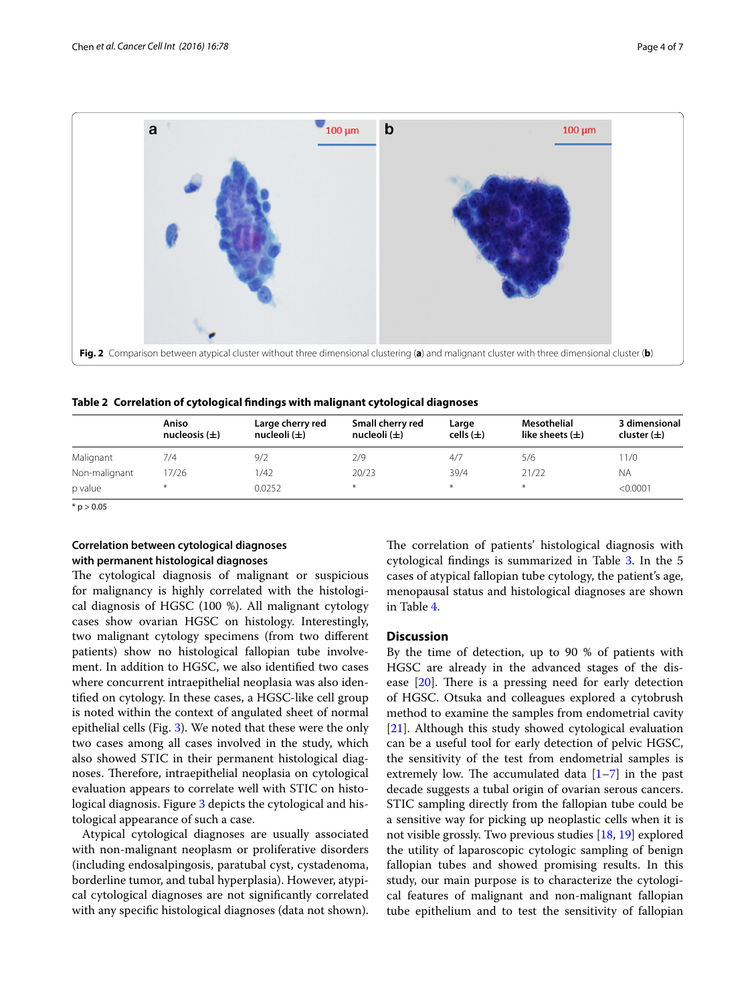![](_page_3_Figure_2.jpeg)

<span id="page-3-1"></span><span id="page-3-0"></span>**Table 2 Correlation of cytological findings with malignant cytological diagnoses**

|               | Aniso<br>nucleosis $(\pm)$ | Large cherry red<br>nucleoli $(\pm)$ | Small cherry red<br>nucleoli $(\pm)$ | Large<br>cells $(\pm)$ | Mesothelial<br>like sheets $(\pm)$ | 3 dimensional<br>cluster $(\pm)$ |
|---------------|----------------------------|--------------------------------------|--------------------------------------|------------------------|------------------------------------|----------------------------------|
| Malignant     | 7/4                        | 9/2                                  | 2/9                                  | 4/7                    | 5/6                                | 11/0                             |
| Non-malignant | 17/26                      | /42                                  | 20/23                                | 39/4                   | 21/22                              | <b>NA</b>                        |
| p value       | $*$                        | 0.0252                               | $*$                                  | $*$                    |                                    | < 0.0001                         |

 $*$  p > 0.05

# **Correlation between cytological diagnoses with permanent histological diagnoses**

The cytological diagnosis of malignant or suspicious for malignancy is highly correlated with the histological diagnosis of HGSC (100 %). All malignant cytology cases show ovarian HGSC on histology. Interestingly, two malignant cytology specimens (from two different patients) show no histological fallopian tube involvement. In addition to HGSC, we also identified two cases where concurrent intraepithelial neoplasia was also identified on cytology. In these cases, a HGSC-like cell group is noted within the context of angulated sheet of normal epithelial cells (Fig. [3](#page-4-0)). We noted that these were the only two cases among all cases involved in the study, which also showed STIC in their permanent histological diagnoses. Therefore, intraepithelial neoplasia on cytological evaluation appears to correlate well with STIC on histo-logical diagnosis. Figure [3](#page-4-0) depicts the cytological and histological appearance of such a case.

Atypical cytological diagnoses are usually associated with non-malignant neoplasm or proliferative disorders (including endosalpingosis, paratubal cyst, cystadenoma, borderline tumor, and tubal hyperplasia). However, atypical cytological diagnoses are not significantly correlated with any specific histological diagnoses (data not shown). The correlation of patients' histological diagnosis with cytological findings is summarized in Table [3.](#page-4-1) In the 5 cases of atypical fallopian tube cytology, the patient's age, menopausal status and histological diagnoses are shown in Table [4.](#page-4-2)

## **Discussion**

By the time of detection, up to 90 % of patients with HGSC are already in the advanced stages of the disease [[20\]](#page-6-8). There is a pressing need for early detection of HGSC. Otsuka and colleagues explored a cytobrush method to examine the samples from endometrial cavity [[21\]](#page-6-9). Although this study showed cytological evaluation can be a useful tool for early detection of pelvic HGSC, the sensitivity of the test from endometrial samples is extremely low. The accumulated data  $[1-7]$  $[1-7]$  $[1-7]$  in the past decade suggests a tubal origin of ovarian serous cancers. STIC sampling directly from the fallopian tube could be a sensitive way for picking up neoplastic cells when it is not visible grossly. Two previous studies [\[18](#page-6-6), [19](#page-6-7)] explored the utility of laparoscopic cytologic sampling of benign fallopian tubes and showed promising results. In this study, our main purpose is to characterize the cytological features of malignant and non-malignant fallopian tube epithelium and to test the sensitivity of fallopian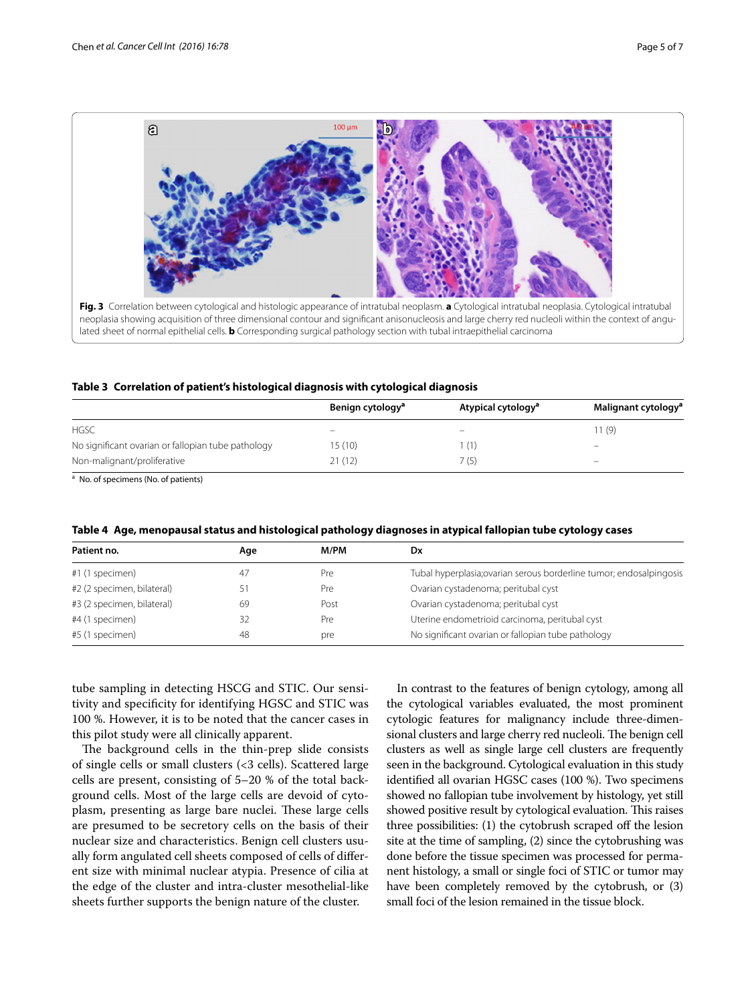![](_page_4_Figure_2.jpeg)

<span id="page-4-1"></span><span id="page-4-0"></span>

|  |  |  | Table 3 Correlation of patient's histological diagnosis with cytological diagnosis |  |
|--|--|--|------------------------------------------------------------------------------------|--|
|--|--|--|------------------------------------------------------------------------------------|--|

|                                                    | Benign cytology <sup>a</sup> | Atypical cytology <sup>a</sup> | Malignant cytology <sup>a</sup> |
|----------------------------------------------------|------------------------------|--------------------------------|---------------------------------|
| <b>HGSC</b>                                        |                              |                                | 11(9)                           |
| No significant ovarian or fallopian tube pathology | 15(10)                       | (1)                            | $\overline{\phantom{0}}$        |
| Non-malignant/proliferative                        | 21 (12)                      | ' (5)                          |                                 |

<sup>a</sup> No. of specimens (No. of patients)

<span id="page-4-2"></span>

| Aqe | M/PM | Dx                                                                  |
|-----|------|---------------------------------------------------------------------|
| 47  | Pre  | Tubal hyperplasia; ovarian serous borderline tumor; endosalpingosis |
|     | Pre  | Ovarian cystadenoma; peritubal cyst                                 |
| 69  | Post | Ovarian cystadenoma; peritubal cyst                                 |
| 32  | Pre  | Uterine endometrioid carcinoma, peritubal cyst                      |
| 48  | pre  | No significant ovarian or fallopian tube pathology                  |
|     |      |                                                                     |

tube sampling in detecting HSCG and STIC. Our sensitivity and specificity for identifying HGSC and STIC was 100 %. However, it is to be noted that the cancer cases in this pilot study were all clinically apparent.

The background cells in the thin-prep slide consists of single cells or small clusters (<3 cells). Scattered large cells are present, consisting of 5–20 % of the total background cells. Most of the large cells are devoid of cytoplasm, presenting as large bare nuclei. These large cells are presumed to be secretory cells on the basis of their nuclear size and characteristics. Benign cell clusters usually form angulated cell sheets composed of cells of different size with minimal nuclear atypia. Presence of cilia at the edge of the cluster and intra-cluster mesothelial-like sheets further supports the benign nature of the cluster.

In contrast to the features of benign cytology, among all the cytological variables evaluated, the most prominent cytologic features for malignancy include three-dimensional clusters and large cherry red nucleoli. The benign cell clusters as well as single large cell clusters are frequently seen in the background. Cytological evaluation in this study identified all ovarian HGSC cases (100 %). Two specimens showed no fallopian tube involvement by histology, yet still showed positive result by cytological evaluation. This raises three possibilities: (1) the cytobrush scraped off the lesion site at the time of sampling, (2) since the cytobrushing was done before the tissue specimen was processed for permanent histology, a small or single foci of STIC or tumor may have been completely removed by the cytobrush, or (3) small foci of the lesion remained in the tissue block.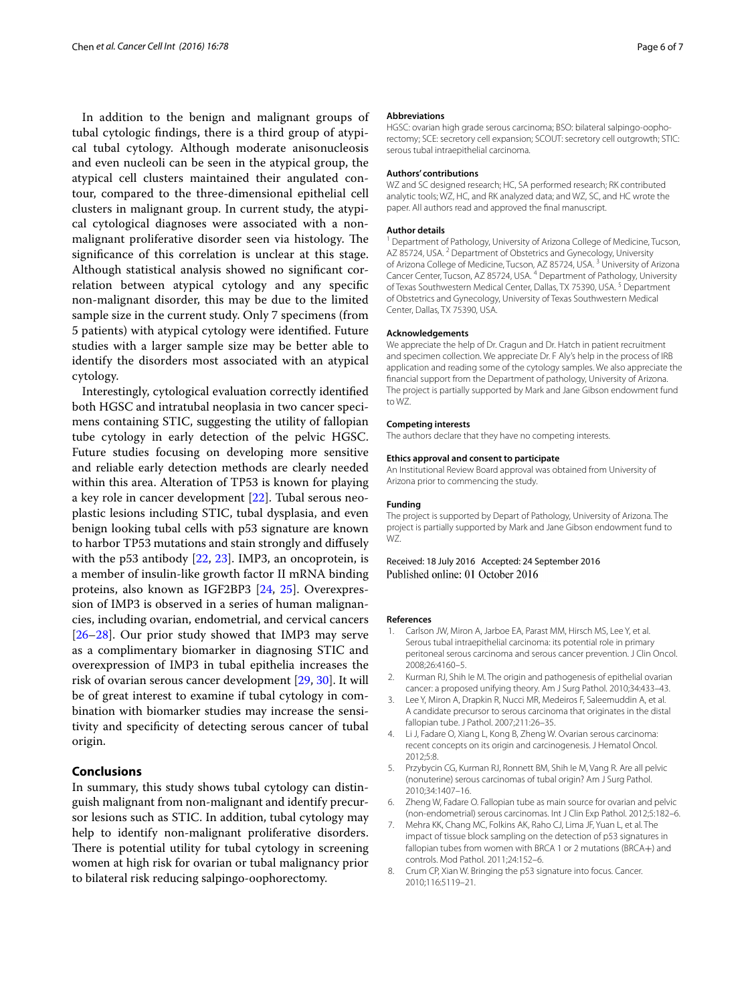In addition to the benign and malignant groups of tubal cytologic findings, there is a third group of atypical tubal cytology. Although moderate anisonucleosis and even nucleoli can be seen in the atypical group, the atypical cell clusters maintained their angulated contour, compared to the three-dimensional epithelial cell clusters in malignant group. In current study, the atypical cytological diagnoses were associated with a nonmalignant proliferative disorder seen via histology. The significance of this correlation is unclear at this stage. Although statistical analysis showed no significant correlation between atypical cytology and any specific non-malignant disorder, this may be due to the limited sample size in the current study. Only 7 specimens (from 5 patients) with atypical cytology were identified. Future studies with a larger sample size may be better able to identify the disorders most associated with an atypical cytology.

Interestingly, cytological evaluation correctly identified both HGSC and intratubal neoplasia in two cancer specimens containing STIC, suggesting the utility of fallopian tube cytology in early detection of the pelvic HGSC. Future studies focusing on developing more sensitive and reliable early detection methods are clearly needed within this area. Alteration of TP53 is known for playing a key role in cancer development [[22\]](#page-6-10). Tubal serous neoplastic lesions including STIC, tubal dysplasia, and even benign looking tubal cells with p53 signature are known to harbor TP53 mutations and stain strongly and diffusely with the p53 antibody [\[22](#page-6-10), [23](#page-6-11)]. IMP3, an oncoprotein, is a member of insulin-like growth factor II mRNA binding proteins, also known as IGF2BP3 [[24,](#page-6-12) [25\]](#page-6-13). Overexpression of IMP3 is observed in a series of human malignancies, including ovarian, endometrial, and cervical cancers [[26–](#page-6-14)[28](#page-6-15)]. Our prior study showed that IMP3 may serve as a complimentary biomarker in diagnosing STIC and overexpression of IMP3 in tubal epithelia increases the risk of ovarian serous cancer development [[29,](#page-6-16) [30](#page-6-17)]. It will be of great interest to examine if tubal cytology in combination with biomarker studies may increase the sensitivity and specificity of detecting serous cancer of tubal origin.

### **Conclusions**

In summary, this study shows tubal cytology can distinguish malignant from non-malignant and identify precursor lesions such as STIC. In addition, tubal cytology may help to identify non-malignant proliferative disorders. There is potential utility for tubal cytology in screening women at high risk for ovarian or tubal malignancy prior to bilateral risk reducing salpingo-oophorectomy.

#### **Abbreviations**

HGSC: ovarian high grade serous carcinoma; BSO: bilateral salpingo-oophorectomy; SCE: secretory cell expansion; SCOUT: secretory cell outgrowth; STIC: serous tubal intraepithelial carcinoma.

#### **Authors' contributions**

WZ and SC designed research; HC, SA performed research; RK contributed analytic tools; WZ, HC, and RK analyzed data; and WZ, SC, and HC wrote the paper. All authors read and approved the final manuscript.

#### **Author details**

<sup>1</sup> Department of Pathology, University of Arizona College of Medicine, Tucson, AZ 85724, USA.<sup>2</sup> Department of Obstetrics and Gynecology, University of Arizona College of Medicine, Tucson, AZ 85724, USA. 3 University of Arizona Cancer Center, Tucson, AZ 85724, USA. 4 Department of Pathology, University of Texas Southwestern Medical Center, Dallas, TX 75390, USA.<sup>5</sup> Department of Obstetrics and Gynecology, University of Texas Southwestern Medical Center, Dallas, TX 75390, USA.

#### **Acknowledgements**

We appreciate the help of Dr. Cragun and Dr. Hatch in patient recruitment and specimen collection. We appreciate Dr. F Aly's help in the process of IRB application and reading some of the cytology samples. We also appreciate the financial support from the Department of pathology, University of Arizona. The project is partially supported by Mark and Jane Gibson endowment fund to WZ.

#### **Competing interests**

The authors declare that they have no competing interests.

#### **Ethics approval and consent to participate**

An Institutional Review Board approval was obtained from University of Arizona prior to commencing the study.

#### **Funding**

The project is supported by Depart of Pathology, University of Arizona. The project is partially supported by Mark and Jane Gibson endowment fund to WZ.

## Received: 18 July 2016 Accepted: 24 September 2016 Published online: 01 October 2016

#### **References**

- <span id="page-5-0"></span>1. Carlson JW, Miron A, Jarboe EA, Parast MM, Hirsch MS, Lee Y, et al. Serous tubal intraepithelial carcinoma: its potential role in primary peritoneal serous carcinoma and serous cancer prevention. J Clin Oncol. 2008;26:4160–5.
- 2. Kurman RJ, Shih Ie M. The origin and pathogenesis of epithelial ovarian cancer: a proposed unifying theory. Am J Surg Pathol. 2010;34:433–43.
- <span id="page-5-3"></span>3. Lee Y, Miron A, Drapkin R, Nucci MR, Medeiros F, Saleemuddin A, et al. A candidate precursor to serous carcinoma that originates in the distal fallopian tube. J Pathol. 2007;211:26–35.
- 4. Li J, Fadare O, Xiang L, Kong B, Zheng W. Ovarian serous carcinoma: recent concepts on its origin and carcinogenesis. J Hematol Oncol. 2012;5:8.
- 5. Przybycin CG, Kurman RJ, Ronnett BM, Shih Ie M, Vang R. Are all pelvic (nonuterine) serous carcinomas of tubal origin? Am J Surg Pathol. 2010;34:1407–16.
- <span id="page-5-1"></span>6. Zheng W, Fadare O. Fallopian tube as main source for ovarian and pelvic (non-endometrial) serous carcinomas. Int J Clin Exp Pathol. 2012;5:182–6.
- <span id="page-5-2"></span>7. Mehra KK, Chang MC, Folkins AK, Raho CJ, Lima JF, Yuan L, et al. The impact of tissue block sampling on the detection of p53 signatures in fallopian tubes from women with BRCA 1 or 2 mutations (BRCA+) and controls. Mod Pathol. 2011;24:152–6.
- <span id="page-5-4"></span>8. Crum CP, Xian W. Bringing the p53 signature into focus. Cancer. 2010;116:5119–21.